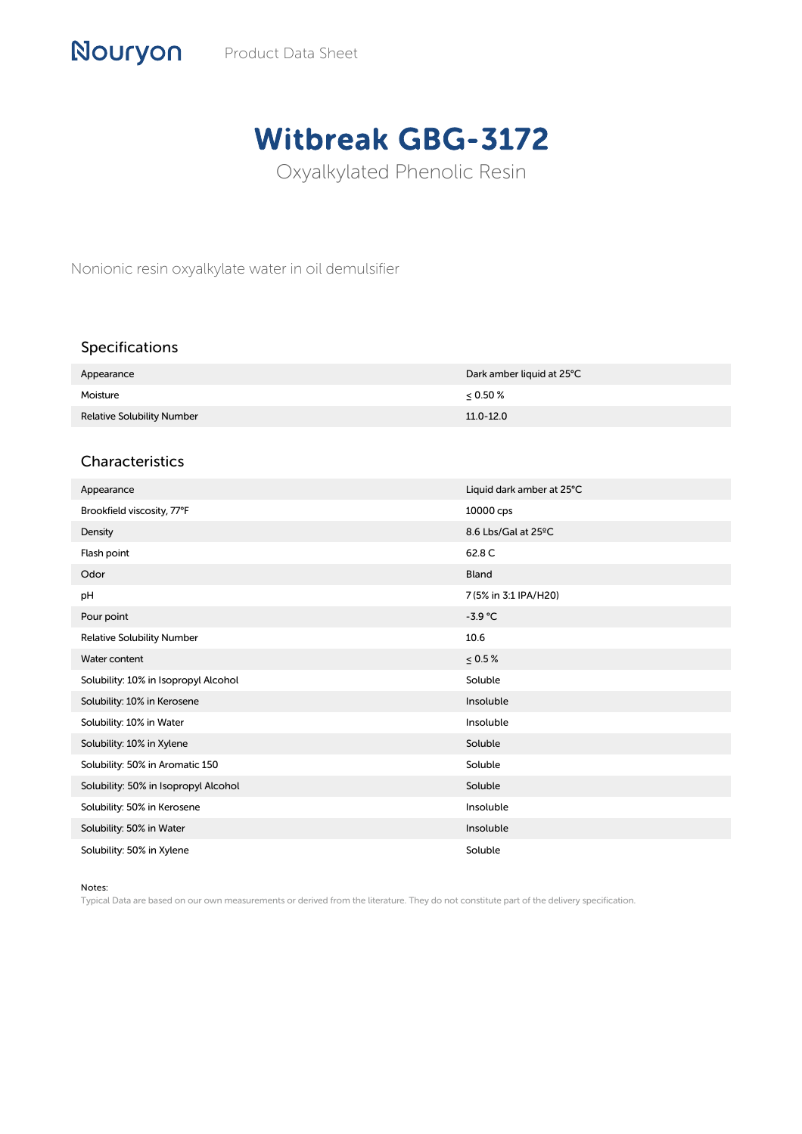# Witbreak GBG-3172

Oxyalkylated Phenolic Resin

Nonionic resin oxyalkylate water in oil demulsifier

## Specifications

Nouryon

| Appearance                        | Dark amber liquid at 25°C |
|-----------------------------------|---------------------------|
| Moisture                          | < 0.50 %                  |
| <b>Relative Solubility Number</b> | $11.0 - 12.0$             |

### Characteristics

| Appearance                           | Liquid dark amber at 25°C |
|--------------------------------------|---------------------------|
| Brookfield viscosity, 77°F           | 10000 cps                 |
| Density                              | 8.6 Lbs/Gal at 25°C       |
| Flash point                          | 62.8 C                    |
| Odor                                 | Bland                     |
| pH                                   | 7 (5% in 3:1 IPA/H20)     |
| Pour point                           | $-3.9$ °C                 |
| <b>Relative Solubility Number</b>    | 10.6                      |
| Water content                        | $\leq 0.5\,\%$            |
| Solubility: 10% in Isopropyl Alcohol | Soluble                   |
| Solubility: 10% in Kerosene          | Insoluble                 |
| Solubility: 10% in Water             | Insoluble                 |
| Solubility: 10% in Xylene            | Soluble                   |
| Solubility: 50% in Aromatic 150      | Soluble                   |
| Solubility: 50% in Isopropyl Alcohol | Soluble                   |
| Solubility: 50% in Kerosene          | Insoluble                 |
| Solubility: 50% in Water             | Insoluble                 |
| Solubility: 50% in Xylene            | Soluble                   |

Notes:

Typical Data are based on our own measurements or derived from the literature. They do not constitute part of the delivery specification.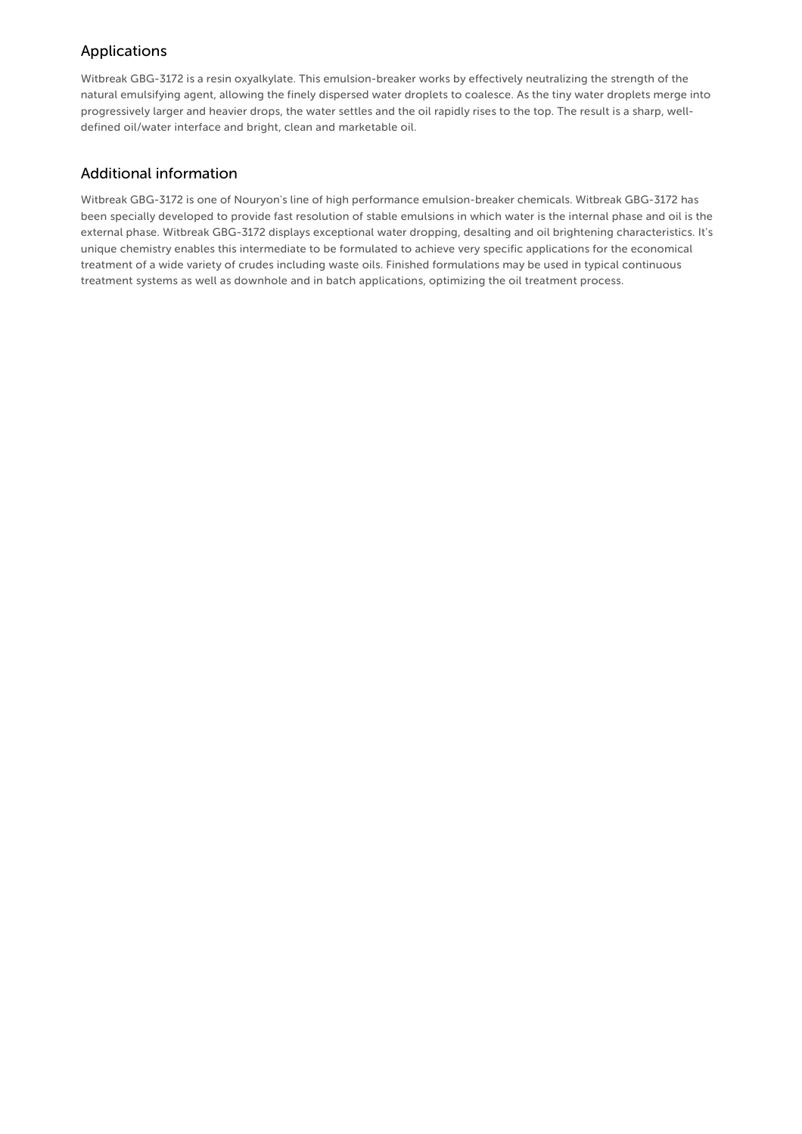## Applications

Witbreak GBG-3172 is a resin oxyalkylate. This emulsion-breaker works by effectively neutralizing the strength of the natural emulsifying agent, allowing the finely dispersed water droplets to coalesce. As the tiny water droplets merge into progressively larger and heavier drops, the water settles and the oil rapidly rises to the top. The result is a sharp, welldefined oil/water interface and bright, clean and marketable oil.

### Additional information

Witbreak GBG-3172 is one of Nouryon's line of high performance emulsion-breaker chemicals. Witbreak GBG-3172 has been specially developed to provide fast resolution of stable emulsions in which water is the internal phase and oil is the external phase. Witbreak GBG-3172 displays exceptional water dropping, desalting and oil brightening characteristics. It's unique chemistry enables this intermediate to be formulated to achieve very specific applications for the economical treatment of a wide variety of crudes including waste oils. Finished formulations may be used in typical continuous treatment systems as well as downhole and in batch applications, optimizing the oil treatment process.